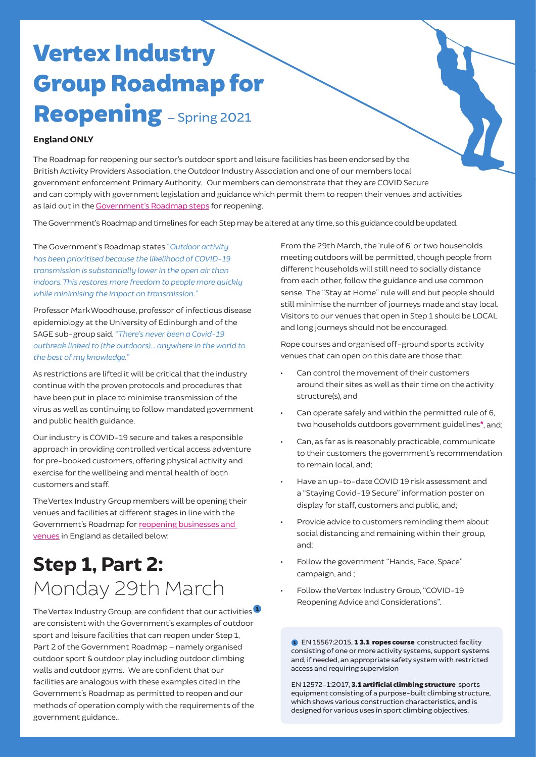# Vertex Industry Group Roadmap for Reopening - Spring 2021

### **England ONLY**

The Roadmap for reopening our sector's outdoor sport and leisure facilities has been endorsed by the British Activity Providers Association, the Outdoor Industry Association and one of our members local government enforcement Primary Authority. Our members can demonstrate that they are COVID Secure and can comply with government legislation and guidance which permit them to reopen their venues and activities as laid out in the Government's [Roadmap steps](https://www.gov.uk/government/publications/covid-19-response-spring-2021/covid-19-response-spring-2021#roadmap) for reopening.

The Government's Roadmap and timelines for each Step may be altered at any time, so this guidance could be updated.

The Government's Roadmap states *"Outdoor activity has been prioritised because the likelihood of COVID-19 transmission is substantially lower in the open air than indoors. This restores more freedom to people more quickly while minimising the impact on transmission."*

Professor Mark Woodhouse, professor of infectious disease epidemiology at the University of Edinburgh and of the SAGE sub-group said. *"There's never been a Covid-19 outbreak linked to (the outdoors)… anywhere in the world to the best of my knowledge."*

As restrictions are lifted it will be critical that the industry continue with the proven protocols and procedures that have been put in place to minimise transmission of the virus as well as continuing to follow mandated government and public health guidance.

Our industry is COVID-19 secure and takes a responsible approach in providing controlled vertical access adventure for pre-booked customers, offering physical activity and exercise for the wellbeing and mental health of both customers and staff.

The Vertex Industry Group members will be opening their venues and facilities at different stages in line with the Government's Roadmap for [reopening businesses and](https://www.gov.uk/government/publications/reopening-businesses-and-venues-in-england/reopening-businesses-and-venues)  [venues](https://www.gov.uk/government/publications/reopening-businesses-and-venues-in-england/reopening-businesses-and-venues) in England as detailed below:

# **Step 1, Part 2:** Monday 29th March

The Vertex Industry Group, are confident that our activities are consistent with the Government's examples of outdoor sport and leisure facilities that can reopen under Step 1, Part 2 of the Government Roadmap – namely organised outdoor sport & outdoor play including outdoor climbing walls and outdoor gyms. We are confident that our facilities are analogous with these examples cited in the Government's Roadmap as permitted to reopen and our methods of operation comply with the requirements of the government guidance..

From the 29th March, the 'rule of 6' or two households meeting outdoors will be permitted, though people from different households will still need to socially distance from each other, follow the guidance and use common sense. The "Stay at Home" rule will end but people should still minimise the number of journeys made and stay local. Visitors to our venues that open in Step 1 should be LOCAL and long journeys should not be encouraged.

Rope courses and organised off-ground sports activity venues that can open on this date are those that:

- Can control the movement of their customers around their sites as well as their time on the activity structure(s), and
- Can operate safely and within the permitted rule of 6, two households outdoors government guidelines\* , and;
- Can, as far as is reasonably practicable, communicate to their customers the government's recommendation to remain local, and;
- Have an up-to-date COVID 19 risk assessment and a "Staying Covid-19 Secure" information poster on display for staff, customers and public, and;
- Provide advice to customers reminding them about social distancing and remaining within their group, and;
- Follow the government "Hands, Face, Space" campaign, and ;
- Follow the Vertex Industry Group, "COVID-19 Reopening Advice and Considerations".

EN 15567:2015, 1 3.1 ropes course constructed facility consisting of one or more activity systems, support systems and, if needed, an appropriate safety system with restricted access and requiring supervision

EN 12572-1:2017, 3.1 artificial climbing structure sports equipment consisting of a purpose-built climbing structure, which shows various construction characteristics, and is designed for various uses in sport climbing objectives.